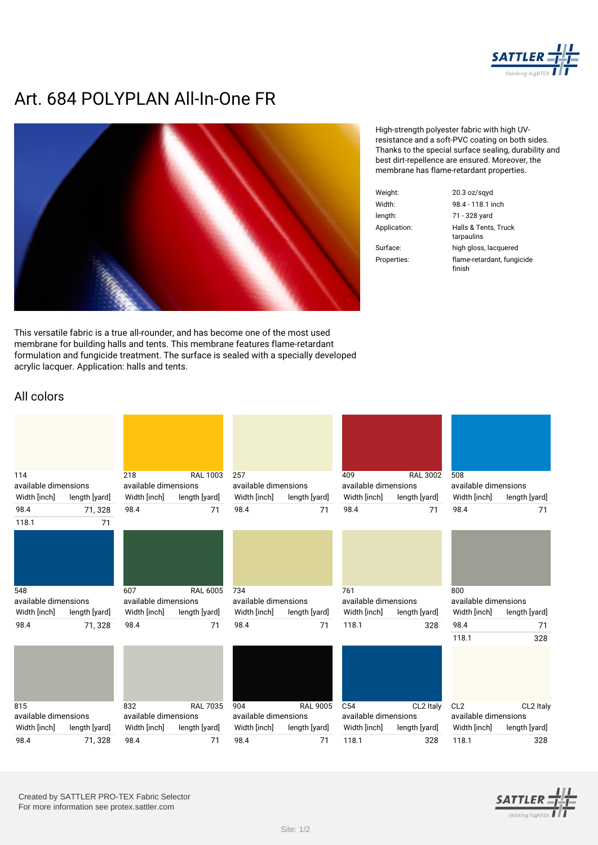

## **Art. 684 POLYPLAN All-In-One FR**



This versatile fabric is a true all-rounder, and has become one of the most used membrane for building halls and tents. This membrane features flame-retardant formulation and fungicide treatment. The surface is sealed with a specially developed acrylic lacquer. Application: halls and tents.

High-strength polyester fabric with high UVresistance and a soft-PVC coating on both sides. Thanks to the special surface sealing, durability and best dirt-repellence are ensured. Moreover, the membrane has flame-retardant properties.

|       | $20.3$ oz/sqyd                       |
|-------|--------------------------------------|
|       | 98.4 - 118.1 inch                    |
|       | 71 - 328 yard                        |
| tion: | Halls & Tents, Truck<br>tarpaulins   |
| ĭ.    | high gloss, lacquered                |
| ies:  | flame-retardant, fungicide<br>finish |

## All colors

| 114                  |               | 218                  | <b>RAL 1003</b> | 257                  |                 | 409                  | <b>RAL 3002</b> | 508                  |               |
|----------------------|---------------|----------------------|-----------------|----------------------|-----------------|----------------------|-----------------|----------------------|---------------|
| available dimensions |               | available dimensions |                 | available dimensions |                 | available dimensions |                 | available dimensions |               |
| Width [inch]         | length [yard] | Width [inch]         | length [yard]   | Width [inch]         | length [yard]   | Width [inch]         | length [yard]   | Width [inch]         | length [yard] |
| 98.4                 | 71,328        | 98.4                 | 71              | 98.4                 | 71              | 98.4                 | 71              | 98.4                 | 71            |
| 118.1                | 71            |                      |                 |                      |                 |                      |                 |                      |               |
|                      |               |                      |                 |                      |                 |                      |                 |                      |               |
| 548                  |               | 607                  | <b>RAL 6005</b> | 734                  |                 | 761                  |                 | 800                  |               |
| available dimensions |               | available dimensions |                 | available dimensions |                 | available dimensions |                 | available dimensions |               |
| Width [inch]         | length [yard] | Width [inch]         | length [yard]   | Width [inch]         | length [yard]   | Width [inch]         | length [yard]   | Width [inch]         | length [yard] |
| 98.4                 | 71,328        | 98.4                 | 71              | 98.4                 | 71              | 118.1                | 328             | 98.4                 | 71            |
|                      |               |                      |                 |                      |                 |                      |                 | 118.1                | 328           |
|                      |               |                      |                 |                      |                 |                      |                 |                      |               |
| 815                  |               | 832                  | <b>RAL 7035</b> | 904                  | <b>RAL 9005</b> | C <sub>54</sub>      | CL2 Italy       | CL <sub>2</sub>      | CL2 Italy     |
| available dimensions |               | available dimensions |                 | available dimensions |                 | available dimensions |                 | available dimensions |               |
| Width [inch]         | length [yard] | Width [inch]         | length [yard]   | Width [inch]         | length [yard]   | Width [inch]         | length [yard]   | Width [inch]         | length [yard] |
| 98.4                 | 71,328        | 98.4                 | 71              | 98.4                 | 71              | 118.1                | 328             | 118.1                | 328           |